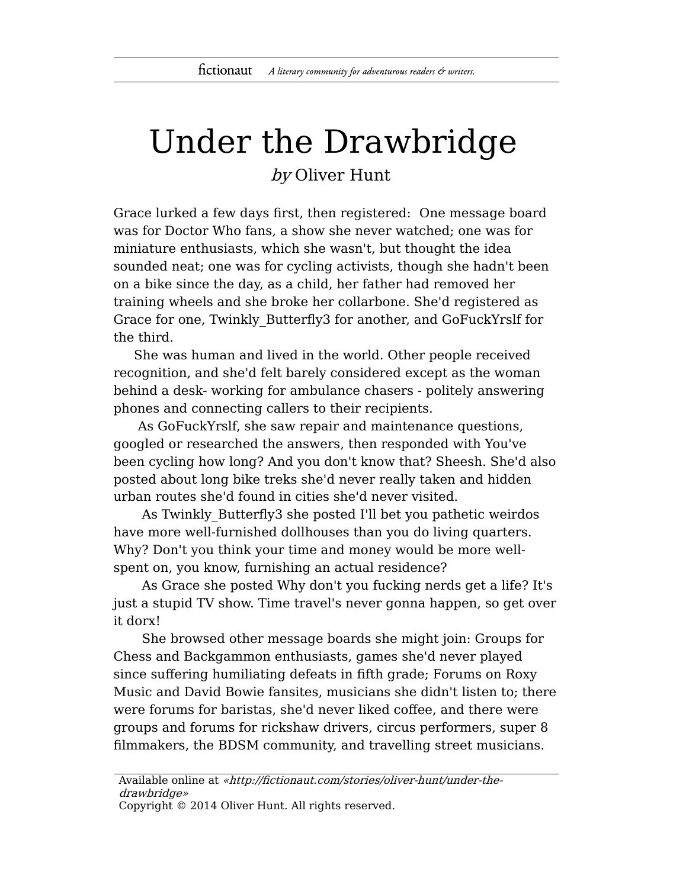## Under the Drawbridge

by Oliver Hunt

Grace lurked a few days first, then registered: One message board was for Doctor Who fans, a show she never watched; one was for miniature enthusiasts, which she wasn't, but thought the idea sounded neat; one was for cycling activists, though she hadn't been on a bike since the day, as a child, her father had removed her training wheels and she broke her collarbone. She'd registered as Grace for one, Twinkly\_Butterfly3 for another, and GoFuckYrslf for the third.

She was human and lived in the world. Other people received recognition, and she'd felt barely considered except as the woman behind a desk- working for ambulance chasers - politely answering phones and connecting callers to their recipients.

As GoFuckYrslf, she saw repair and maintenance questions, googled or researched the answers, then responded with You've been cycling how long? And you don't know that? Sheesh. She'd also posted about long bike treks she'd never really taken and hidden urban routes she'd found in cities she'd never visited.

As Twinkly\_Butterfly3 she posted I'll bet you pathetic weirdos have more well-furnished dollhouses than you do living quarters. Why? Don't you think your time and money would be more wellspent on, you know, furnishing an actual residence?

As Grace she posted Why don't you fucking nerds get a life? It's just a stupid TV show. Time travel's never gonna happen, so get over it dorx!

She browsed other message boards she might join: Groups for Chess and Backgammon enthusiasts, games she'd never played since suffering humiliating defeats in fifth grade; Forums on Roxy Music and David Bowie fansites, musicians she didn't listen to; there were forums for baristas, she'd never liked coffee, and there were groups and forums for rickshaw drivers, circus performers, super 8 filmmakers, the BDSM community, and travelling street musicians.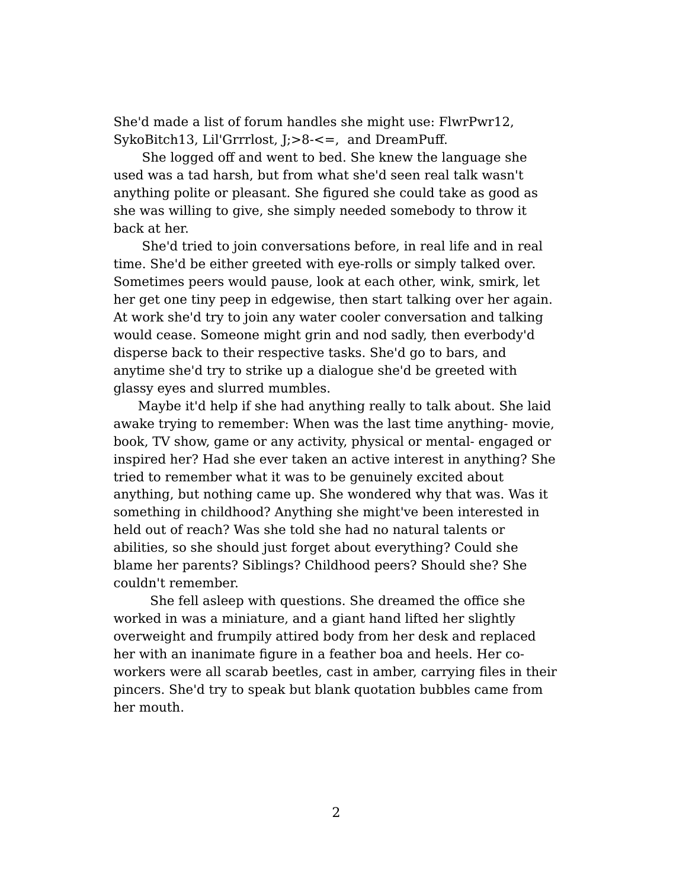She'd made a list of forum handles she might use: FlwrPwr12, SykoBitch13, Lil'Grrrlost, J;>8-<=, and DreamPuff.

She logged off and went to bed. She knew the language she used was a tad harsh, but from what she'd seen real talk wasn't anything polite or pleasant. She figured she could take as good as she was willing to give, she simply needed somebody to throw it back at her.

She'd tried to join conversations before, in real life and in real time. She'd be either greeted with eye-rolls or simply talked over. Sometimes peers would pause, look at each other, wink, smirk, let her get one tiny peep in edgewise, then start talking over her again. At work she'd try to join any water cooler conversation and talking would cease. Someone might grin and nod sadly, then everbody'd disperse back to their respective tasks. She'd go to bars, and anytime she'd try to strike up a dialogue she'd be greeted with glassy eyes and slurred mumbles.

Maybe it'd help if she had anything really to talk about. She laid awake trying to remember: When was the last time anything- movie, book, TV show, game or any activity, physical or mental- engaged or inspired her? Had she ever taken an active interest in anything? She tried to remember what it was to be genuinely excited about anything, but nothing came up. She wondered why that was. Was it something in childhood? Anything she might've been interested in held out of reach? Was she told she had no natural talents or abilities, so she should just forget about everything? Could she blame her parents? Siblings? Childhood peers? Should she? She couldn't remember.

She fell asleep with questions. She dreamed the office she worked in was a miniature, and a giant hand lifted her slightly overweight and frumpily attired body from her desk and replaced her with an inanimate figure in a feather boa and heels. Her coworkers were all scarab beetles, cast in amber, carrying files in their pincers. She'd try to speak but blank quotation bubbles came from her mouth.